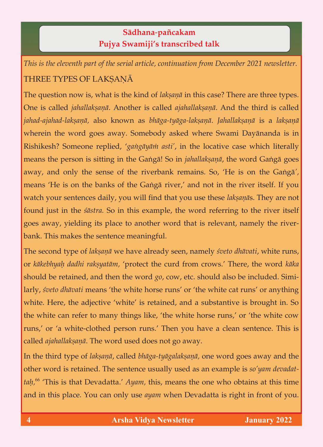## **Sädhana**-**païcakam Pujya Swamiji's transcribed talk**

*This is the eleventh part of the serial article, continuation from December 2021 newsletter.* THREE TYPES OF LAKÑAËÄ

The question now is, what is the kind of *lakṣaṇā* in this case? There are three types.<br>One is called *jahallakṣaṇā*. Another is called *ajahallakṣaṇā*. And the third is called jahad-ajahad-lakṣaṇā, also known as bhāga-tyāga-lakṣaṇā. Jahallakṣaṇā is a lakṣaṇā *k*wherein the word goes away. Somebody asked where Swami Dayānanda is in Rishikesh? Someone replied, 'gangāyām asti', in the locative case which literally means the person is sitting in the Gaṅgā! So in *jahallakṣaṇā*, the word Gaṅgā goes away, and only the sense of the riverbank remains. So, 'He is on the Ganga<sup>'</sup>, means 'He is on the banks of the Ganga river,' and not in the river itself. If you watch your sentences daily, you will find that you use these laksanās. They are not found just in the *śāstra*. So in this example, the word referring to the river itself found just in the *çästra.* So in this example, the word referring to the river itself  $\beta$  and  $\beta$  is place to another word that is relevant, namely that is relevant, namely the riverbank. This makes the sentence meaningful.

The second type of *lakṣaṇā* we have already seen, namely *śveto dhāvati*, white runs, or *kākebhyaḥ dadhi rakṣyatām*, 'protect the curd from crows.' There, the word *kāka* should be retained, and then the word *go*, cow, etc. should also be included. Similarly, *sveto dhāvati* means 'the white horse runs' or 'the white cat runs' or anything white. Here, the adjective 'white' is retained, and a substantive is brought in. So which is retained, and a substantial is retained, and a substantial is retained, and a substantial is brought in. So, the south in  $\sigma$  $\sigma$  refer to many things like,  $\sigma$  and  $\sigma$  is the white complete form of  $\sigma$ runs,' or 'a white-clothed person runs.' Then you have a clean sentence. This is called *ajahallakṣaṇā*. The word used does not go away.

In the third type of *lakṣaṇā*, called *bhāga-tyāgalakṣaṇā*, one word goes away and the other word is retained. The sentence usually used as an example is *so'yam devadat*other word is retained. The sentence usually used as an example is *so'yam devadat*tan,<sup>66</sup> Inis is that Devadatta.' *Ayam,* this, means the one who obtains at this time and in this place. You can only use *ayam* when Devadatta is right in front of you.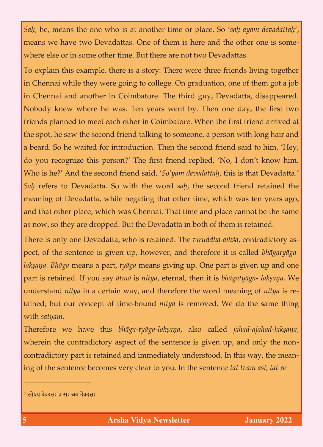*Saù,* he, means the one who is at another time or place. So '*saù ayam devadattaù*', where else or in some other time. But there are not two Devadattas.

To explain this example, there is a story: There were three friends living together in Chennai and another in Coimbatore. The third guy, Devadatta, disappeared. Nobody knew where he was. Ten years went by. Then one day, the first two friends planned to meet each other in Coimbatore. When the first friend arrived at the spot, he saw the second friend talking to someone, a person with long hair and a beard. So he waited for introduction. Then the second friend said to him, 'Hey, do you recognize this person?' The first friend replied, 'No, I don't know him. Who is he?' And the second friend said, 'So'yam devadattah, this is that Devadatta.' Sah refers to Devadatta. So with the word sah, the second friend retained the meaning of Devadatta, while negating that other time, which was ten years ago, and that other place, which was Chennai. That time and place cannot be the same as now, so they are dropped. But the Devadatta in both of them is retained. as now, so they are dropped. But the Devadation in both of the Devadatta in both of the  $\alpha$ 

There is only one Devadatta, who is retained. The *viruddha-amsa*, contradictory aspect, of the sentence is given up, however, and therefore it is called *bhāgatyāga*laksana. Bhāga means a part, tyāga means giving up. One part is given up and one *lakñaëa. Bhäga* means a part, *tyäga* means giving up. One part is given up and one part is retained. If you say  $\bar{a}$ *tm* $\bar{a}$  is *nitya*, eternal, then it is *bhāgatyāga- lakṣaṇa*. We understand *nitya* in a certain way, and therefore the word meaning of *nitya* is reunderstand *nitya* in a certain way, and therefore the word meaning of *nitya* is retained, but our concept of time-bound *nitya* is removed. We do the same thing

with satyam.<br>Therefore we have this bhāga-tyāga-lakṣaṇa, also called *jahad-ajahad-lakṣaṇa*, Therefore we have this *bhäga-tyäga-lakñaëa*, also called *jahad-ajahad-lakñaëa,*  where the contradictory aspect of the sentence is given up, and only the noncontradictory part is retained and immediately understood. In this way, the meaning of the sentence becomes very clear to you. In the sentence *tat tvam asi, tat* re

\_\_\_\_\_\_\_\_\_\_\_\_\_\_\_\_\_\_

<sup>&</sup>lt;sup>66</sup> सोऽयं देवदत्तः *ऽ* सः अयं देवदत्तः